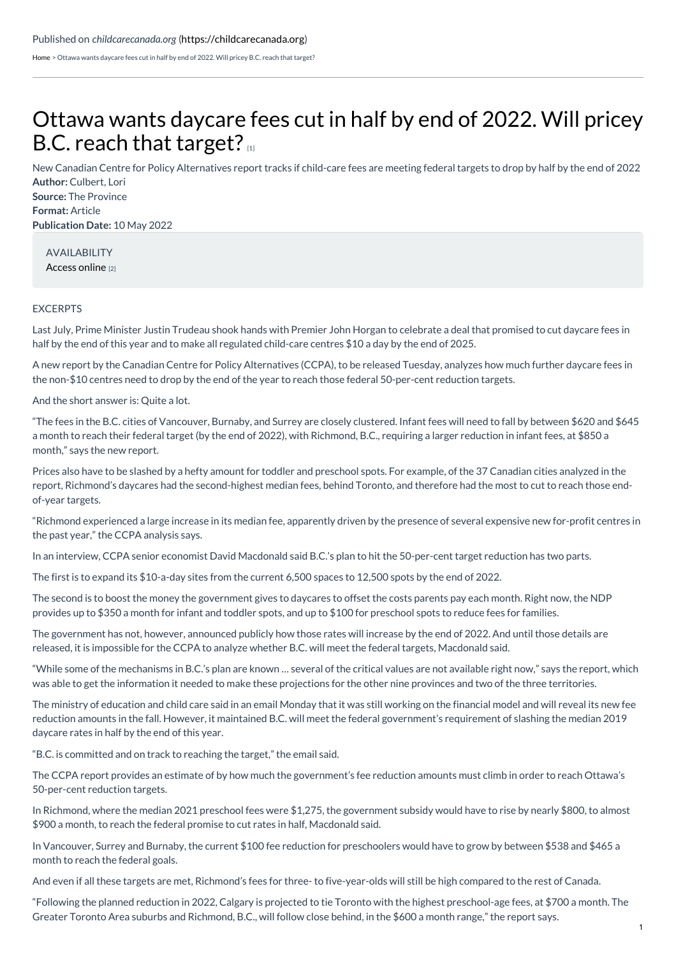[Home](https://childcarecanada.org/) > Ottawa wants daycare fees cut in half by end of 2022. Will pricey B.C. reach that target?

## Ottawa wants [daycare](https://childcarecanada.org/documents/child-care-news/22/05/ottawa-wants-daycare-fees-cut-half-end-2022-will-pricey-bc-reach) fees cut in half by end of 2022. Will pricey B.C. reach that target?

**Author:** Culbert, Lori **Source:** The Province **Format:** Article **Publication Date:** 10 May 2022 New Canadian Centre for Policy Alternatives report tracks if child-care fees are meeting federal targets to drop by half by the end of 2022

AVAILABILITY [Access](https://theprovince.com/life/parenting/daycare-fees-dropping-but-still-too-high-in-cities-like-richmond-report) online [2]

## EXCERPTS

Last July, Prime Minister Justin Trudeau shook hands with Premier John Horgan to celebrate a deal that promised to cut daycare fees in half by the end of this year and to make all regulated child-care centres \$10 a day by the end of 2025.

A new report by the Canadian Centre for Policy Alternatives (CCPA), to be released Tuesday, analyzes how much further daycare fees in the non-\$10 centres need to drop by the end of the year to reach those federal 50-per-cent reduction targets.

And the short answer is: Quite a lot.

"The fees in the B.C. cities of Vancouver, Burnaby, and Surrey are closely clustered. Infant fees will need to fall by between \$620 and \$645 a month to reach their federal target (by the end of 2022), with Richmond, B.C., requiring a larger reduction in infant fees, at \$850 a month," says the new report.

Prices also have to be slashed by a hefty amount for toddler and preschool spots. For example, of the 37 Canadian cities analyzed in the report, Richmond's daycares had the second-highest median fees, behind Toronto, and therefore had the most to cut to reach those endof-year targets.

"Richmond experienced a large increase in its median fee, apparently driven by the presence of several expensive new for-profit centres in the past year," the CCPA analysis says.

In an interview, CCPA senior economist David Macdonald said B.C.'s plan to hit the 50-per-cent target reduction has two parts.

The first is to expand its \$10-a-day sites from the current 6,500 spaces to 12,500 spots by the end of 2022.

The second is to boost the money the government gives to daycares to offset the costs parents pay each month. Right now, the NDP provides up to \$350 a month for infant and toddler spots, and up to \$100 for preschool spots to reduce fees for families.

The government has not, however, announced publicly how those rates will increase by the end of 2022. And until those details are released, it is impossible for the CCPA to analyze whether B.C. will meet the federal targets, Macdonald said.

"While some of the mechanisms in B.C.'s plan are known … several of the critical values are not available right now," says the report, which was able to get the information it needed to make these projections for the other nine provinces and two of the three territories.

The ministry of education and child care said in an email Monday that it was still working on the financial model and will reveal its new fee reduction amounts in the fall. However, it maintained B.C. will meet the federal government's requirement of slashing the median 2019 daycare rates in half by the end of this year.

"B.C. is committed and on track to reaching the target," the email said.

The CCPA report provides an estimate of by how much the government's fee reduction amounts must climb in order to reach Ottawa's 50-per-cent reduction targets.

In Richmond, where the median 2021 preschool fees were \$1,275, the government subsidy would have to rise by nearly \$800, to almost \$900 a month, to reach the federal promise to cut rates in half, Macdonald said.

In Vancouver, Surrey and Burnaby, the current \$100 fee reduction for preschoolers would have to grow by between \$538 and \$465 a month to reach the federal goals.

And even if all these targets are met, Richmond's fees for three- to five-year-olds will still be high compared to the rest of Canada.

"Following the planned reduction in 2022, Calgary is projected to tie Toronto with the highest preschool-age fees, at \$700 a month. The Greater Toronto Area suburbs and Richmond, B.C., will follow close behind, in the \$600 a month range," the report says.